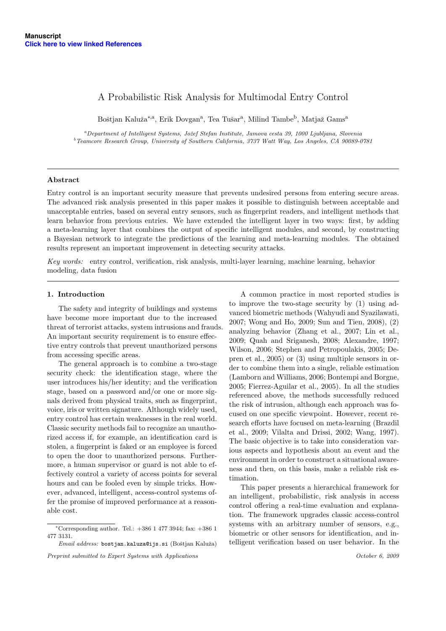# A Probabilistic Risk Analysis for Multimodal Entry Control

Boštjan Kaluža<sup>\*,a</sup>, Erik Dovgan<sup>a</sup>, Tea Tušar<sup>a</sup>, Milind Tambe<sup>b</sup>, Matjaž Gams<sup>a</sup>

*<sup>a</sup>Department of Intelligent Systems, Joˇzef Stefan Institute, Jamova cesta 39, 1000 Ljubljana, Slovenia b Teamcore Research Group, University of Southern California, 3737 Watt Way, Los Angeles, CA 90089-0781*

#### Abstract

Entry control is an important security measure that prevents undesired persons from entering secure areas. The advanced risk analysis presented in this paper makes it possible to distinguish between acceptable and unacceptable entries, based on several entry sensors, such as fingerprint readers, and intelligent methods that learn behavior from previous entries. We have extended the intelligent layer in two ways: first, by adding a meta-learning layer that combines the output of specific intelligent modules, and second, by constructing a Bayesian network to integrate the predictions of the learning and meta-learning modules. The obtained results represent an important improvement in detecting security attacks.

*Key words:* entry control, verification, risk analysis, multi-layer learning, machine learning, behavior modeling, data fusion

# 1. Introduction

The safety and integrity of buildings and systems have become more important due to the increased threat of terrorist attacks, system intrusions and frauds. An important security requirement is to ensure effective entry controls that prevent unauthorized persons from accessing specific areas.

The general approach is to combine a two-stage security check: the identification stage, where the user introduces his/her identity; and the verification stage, based on a password and/or one or more signals derived from physical traits, such as fingerprint, voice, iris or written signature. Although widely used, entry control has certain weaknesses in the real world. Classic security methods fail to recognize an unauthorized access if, for example, an identification card is stolen, a fingerprint is faked or an employee is forced to open the door to unauthorized persons. Furthermore, a human supervisor or guard is not able to effectively control a variety of access points for several hours and can be fooled even by simple tricks. However, advanced, intelligent, access-control systems offer the promise of improved performance at a reasonable cost.

A common practice in most reported studies is to improve the two-stage security by (1) using advanced biometric methods (Wahyudi and Syazilawati, 2007; Wong and Ho, 2009; Sun and Tien, 2008), (2) analyzing behavior (Zhang et al., 2007; Lin et al., 2009; Quah and Sriganesh, 2008; Alexandre, 1997; Wilson, 2006; Stephen and Petropoulakis, 2005; Depren et al., 2005) or (3) using multiple sensors in order to combine them into a single, reliable estimation (Lamborn and Williams, 2006; Bontempi and Borgne, 2005; Fierrez-Aguilar et al., 2005). In all the studies referenced above, the methods successfully reduced the risk of intrusion, although each approach was focused on one specific viewpoint. However, recent research efforts have focused on meta-learning (Brazdil et al., 2009; Vilalta and Drissi, 2002; Wang, 1997). The basic objective is to take into consideration various aspects and hypothesis about an event and the environment in order to construct a situational awareness and then, on this basis, make a reliable risk estimation.

This paper presents a hierarchical framework for an intelligent, probabilistic, risk analysis in access control offering a real-time evaluation and explanation. The framework upgrades classic access-control systems with an arbitrary number of sensors, e.g., biometric or other sensors for identification, and intelligent verification based on user behavior. In the

<sup>∗</sup>Corresponding author. Tel.: +386 1 477 3944; fax: +386 1 477 3131.

*Email address:* bostjan.kaluza@ijs.si (Boštjan Kaluža)

*Preprint submitted to Expert Systems with Applications October 6, 2009*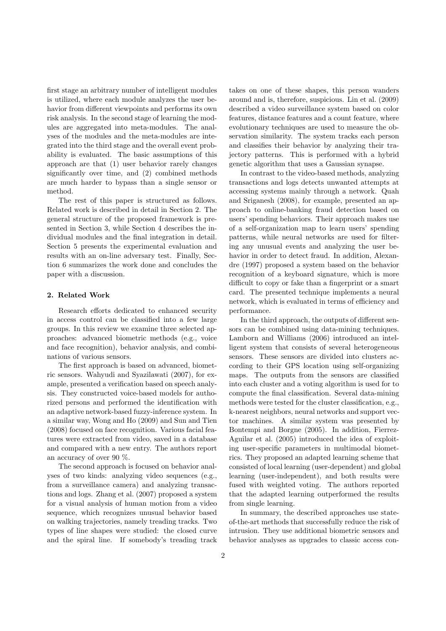first stage an arbitrary number of intelligent modules is utilized, where each module analyzes the user behavior from different viewpoints and performs its own risk analysis. In the second stage of learning the modules are aggregated into meta-modules. The analyses of the modules and the meta-modules are integrated into the third stage and the overall event probability is evaluated. The basic assumptions of this approach are that (1) user behavior rarely changes significantly over time, and (2) combined methods are much harder to bypass than a single sensor or method.

The rest of this paper is structured as follows. Related work is described in detail in Section 2. The general structure of the proposed framework is presented in Section 3, while Section 4 describes the individual modules and the final integration in detail. Section 5 presents the experimental evaluation and results with an on-line adversary test. Finally, Section 6 summarizes the work done and concludes the paper with a discussion.

# 2. Related Work

Research efforts dedicated to enhanced security in access control can be classified into a few large groups. In this review we examine three selected approaches: advanced biometric methods (e.g., voice and face recognition), behavior analysis, and combinations of various sensors.

The first approach is based on advanced, biometric sensors. Wahyudi and Syazilawati (2007), for example, presented a verification based on speech analysis. They constructed voice-based models for authorized persons and performed the identification with an adaptive network-based fuzzy-inference system. In a similar way, Wong and Ho (2009) and Sun and Tien (2008) focused on face recognition. Various facial features were extracted from video, saved in a database and compared with a new entry. The authors report an accuracy of over 90 %.

The second approach is focused on behavior analyses of two kinds: analyzing video sequences (e.g., from a surveillance camera) and analyzing transactions and logs. Zhang et al. (2007) proposed a system for a visual analysis of human motion from a video sequence, which recognizes unusual behavior based on walking trajectories, namely treading tracks. Two types of line shapes were studied: the closed curve and the spiral line. If somebody's treading track takes on one of these shapes, this person wanders around and is, therefore, suspicious. Lin et al. (2009) described a video surveillance system based on color features, distance features and a count feature, where evolutionary techniques are used to measure the observation similarity. The system tracks each person and classifies their behavior by analyzing their trajectory patterns. This is performed with a hybrid genetic algorithm that uses a Gaussian synapse.

In contrast to the video-based methods, analyzing transactions and logs detects unwanted attempts at accessing systems mainly through a network. Quah and Sriganesh (2008), for example, presented an approach to online-banking fraud detection based on users' spending behaviors. Their approach makes use of a self-organization map to learn users' spending patterns, while neural networks are used for filtering any unusual events and analyzing the user behavior in order to detect fraud. In addition, Alexandre (1997) proposed a system based on the behavior recognition of a keyboard signature, which is more difficult to copy or fake than a fingerprint or a smart card. The presented technique implements a neural network, which is evaluated in terms of efficiency and performance.

In the third approach, the outputs of different sensors can be combined using data-mining techniques. Lamborn and Williams (2006) introduced an intelligent system that consists of several heterogeneous sensors. These sensors are divided into clusters according to their GPS location using self-organizing maps. The outputs from the sensors are classified into each cluster and a voting algorithm is used for to compute the final classification. Several data-mining methods were tested for the cluster classification, e.g., k-nearest neighbors, neural networks and support vector machines. A similar system was presented by Bontempi and Borgne (2005). In addition, Fierrez-Aguilar et al. (2005) introduced the idea of exploiting user-specific parameters in multimodal biometrics. They proposed an adapted learning scheme that consisted of local learning (user-dependent) and global learning (user-independent), and both results were fused with weighted voting. The authors reported that the adapted learning outperformed the results from single learning.

In summary, the described approaches use stateof-the-art methods that successfully reduce the risk of intrusion. They use additional biometric sensors and behavior analyses as upgrades to classic access con-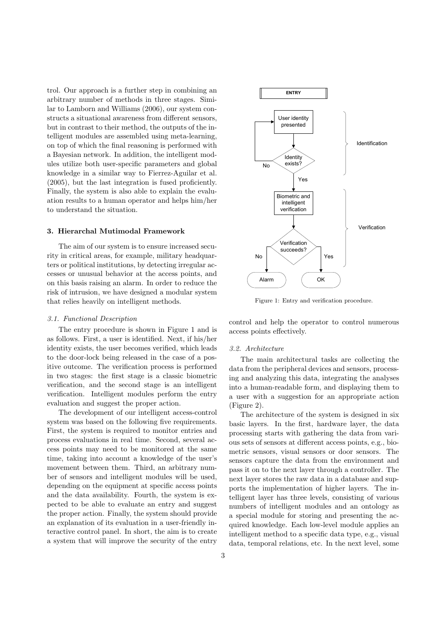trol. Our approach is a further step in combining an arbitrary number of methods in three stages. Similar to Lamborn and Williams (2006), our system constructs a situational awareness from different sensors, but in contrast to their method, the outputs of the intelligent modules are assembled using meta-learning, on top of which the final reasoning is performed with a Bayesian network. In addition, the intelligent modules utilize both user-specific parameters and global knowledge in a similar way to Fierrez-Aguilar et al. (2005), but the last integration is fused proficiently. Finally, the system is also able to explain the evaluation results to a human operator and helps him/her to understand the situation.

## 3. Hierarchal Mutimodal Framework

The aim of our system is to ensure increased security in critical areas, for example, military headquarters or political institutions, by detecting irregular accesses or unusual behavior at the access points, and on this basis raising an alarm. In order to reduce the risk of intrusion, we have designed a modular system that relies heavily on intelligent methods.

#### *3.1. Functional Description*

The entry procedure is shown in Figure 1 and is as follows. First, a user is identified. Next, if his/her identity exists, the user becomes verified, which leads to the door-lock being released in the case of a positive outcome. The verification process is performed in two stages: the first stage is a classic biometric verification, and the second stage is an intelligent verification. Intelligent modules perform the entry evaluation and suggest the proper action.

The development of our intelligent access-control system was based on the following five requirements. First, the system is required to monitor entries and process evaluations in real time. Second, several access points may need to be monitored at the same time, taking into account a knowledge of the user's movement between them. Third, an arbitrary number of sensors and intelligent modules will be used, depending on the equipment at specific access points and the data availability. Fourth, the system is expected to be able to evaluate an entry and suggest the proper action. Finally, the system should provide an explanation of its evaluation in a user-friendly interactive control panel. In short, the aim is to create a system that will improve the security of the entry



Figure 1: Entry and verification procedure.

control and help the operator to control numerous access points effectively.

## *3.2. Architecture*

The main architectural tasks are collecting the data from the peripheral devices and sensors, processing and analyzing this data, integrating the analyses into a human-readable form, and displaying them to a user with a suggestion for an appropriate action (Figure 2).

The architecture of the system is designed in six basic layers. In the first, hardware layer, the data processing starts with gathering the data from various sets of sensors at different access points, e.g., biometric sensors, visual sensors or door sensors. The sensors capture the data from the environment and pass it on to the next layer through a controller. The next layer stores the raw data in a database and supports the implementation of higher layers. The intelligent layer has three levels, consisting of various numbers of intelligent modules and an ontology as a special module for storing and presenting the acquired knowledge. Each low-level module applies an intelligent method to a specific data type, e.g., visual data, temporal relations, etc. In the next level, some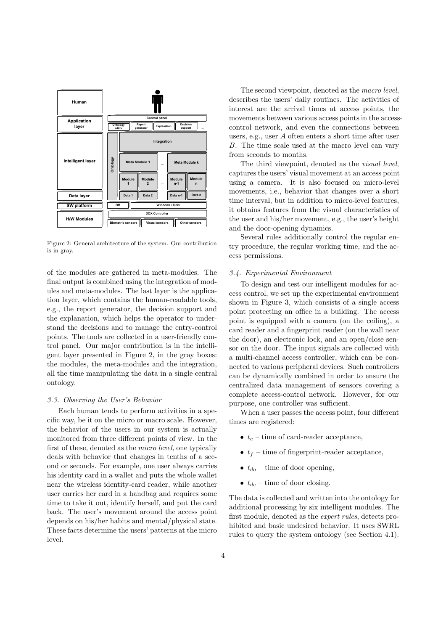

Figure 2: General architecture of the system. Our contribution is in gray.

of the modules are gathered in meta-modules. The final output is combined using the integration of modules and meta-modules. The last layer is the application layer, which contains the human-readable tools, e.g., the report generator, the decision support and the explanation, which helps the operator to understand the decisions and to manage the entry-control points. The tools are collected in a user-friendly control panel. Our major contribution is in the intelligent layer presented in Figure 2, in the gray boxes: the modules, the meta-modules and the integration, all the time manipulating the data in a single central ontology.

## *3.3. Observing the User's Behavior*

Each human tends to perform activities in a specific way, be it on the micro or macro scale. However, the behavior of the users in our system is actually monitored from three different points of view. In the first of these, denoted as the *micro level*, one typically deals with behavior that changes in tenths of a second or seconds. For example, one user always carries his identity card in a wallet and puts the whole wallet near the wireless identity-card reader, while another user carries her card in a handbag and requires some time to take it out, identify herself, and put the card back. The user's movement around the access point depends on his/her habits and mental/physical state. These facts determine the users' patterns at the micro level.

The second viewpoint, denoted as the *macro level*, describes the users' daily routines. The activities of interest are the arrival times at access points, the movements between various access points in the accesscontrol network, and even the connections between users, e.g., user *A* often enters a short time after user *B*. The time scale used at the macro level can vary from seconds to months.

The third viewpoint, denoted as the *visual level*, captures the users' visual movement at an access point using a camera. It is also focused on micro-level movements, i.e., behavior that changes over a short time interval, but in addition to micro-level features, it obtains features from the visual characteristics of the user and his/her movement, e.g., the user's height and the door-opening dynamics.

Several rules additionally control the regular entry procedure, the regular working time, and the access permissions.

#### *3.4. Experimental Environment*

To design and test our intelligent modules for access control, we set up the experimental environment shown in Figure 3, which consists of a single access point protecting an office in a building. The access point is equipped with a camera (on the ceiling), a card reader and a fingerprint reader (on the wall near the door), an electronic lock, and an open/close sensor on the door. The input signals are collected with a multi-channel access controller, which can be connected to various peripheral devices. Such controllers can be dynamically combined in order to ensure the centralized data management of sensors covering a complete access-control network. However, for our purpose, one controller was sufficient.

When a user passes the access point, four different times are registered:

- $\bullet$   $t_c$  time of card-reader acceptance,
- $\bullet$   $t_f$  time of fingerprint-reader acceptance,
- $t_{do}$  time of door opening,
- $t_{dc}$  time of door closing.

The data is collected and written into the ontology for additional processing by six intelligent modules. The first module, denoted as the *expert rules*, detects prohibited and basic undesired behavior. It uses SWRL rules to query the system ontology (see Section 4.1).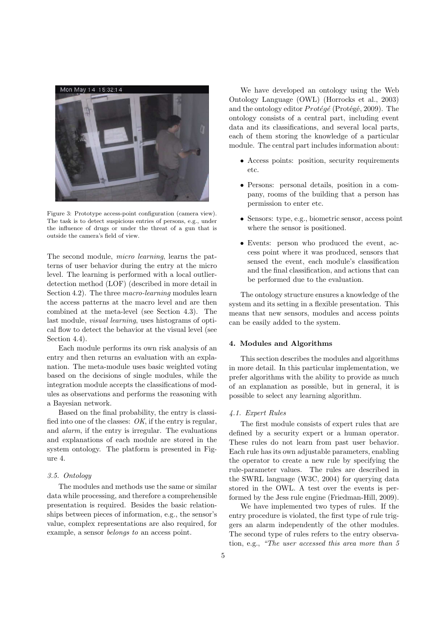

Figure 3: Prototype access-point configuration (camera view). The task is to detect suspicious entries of persons, e.g., under the influence of drugs or under the threat of a gun that is outside the camera's field of view.

The second module, *micro learning*, learns the patterns of user behavior during the entry at the micro level. The learning is performed with a local outlierdetection method (LOF) (described in more detail in Section 4.2). The three *macro-learning* modules learn the access patterns at the macro level and are then combined at the meta-level (see Section 4.3). The last module, *visual learning*, uses histograms of optical flow to detect the behavior at the visual level (see Section 4.4).

Each module performs its own risk analysis of an entry and then returns an evaluation with an explanation. The meta-module uses basic weighted voting based on the decisions of single modules, while the integration module accepts the classifications of modules as observations and performs the reasoning with a Bayesian network.

Based on the final probability, the entry is classified into one of the classes: *OK*, if the entry is regular, and *alarm*, if the entry is irregular. The evaluations and explanations of each module are stored in the system ontology. The platform is presented in Figure 4.

## *3.5. Ontology*

The modules and methods use the same or similar data while processing, and therefore a comprehensible presentation is required. Besides the basic relationships between pieces of information, e.g., the sensor's value, complex representations are also required, for example, a sensor *belongs to* an access point.

We have developed an ontology using the Web Ontology Language (OWL) (Horrocks et al., 2003) and the ontology editor *Protégé* (Protégé, 2009). The ontology consists of a central part, including event data and its classifications, and several local parts, each of them storing the knowledge of a particular module. The central part includes information about:

- Access points: position, security requirements etc.
- Persons: personal details, position in a company, rooms of the building that a person has permission to enter etc.
- Sensors: type, e.g., biometric sensor, access point where the sensor is positioned.
- Events: person who produced the event, access point where it was produced, sensors that sensed the event, each module's classification and the final classification, and actions that can be performed due to the evaluation.

The ontology structure ensures a knowledge of the system and its setting in a flexible presentation. This means that new sensors, modules and access points can be easily added to the system.

# 4. Modules and Algorithms

This section describes the modules and algorithms in more detail. In this particular implementation, we prefer algorithms with the ability to provide as much of an explanation as possible, but in general, it is possible to select any learning algorithm.

## *4.1. Expert Rules*

The first module consists of expert rules that are defined by a security expert or a human operator. These rules do not learn from past user behavior. Each rule has its own adjustable parameters, enabling the operator to create a new rule by specifying the rule-parameter values. The rules are described in the SWRL language (W3C, 2004) for querying data stored in the OWL. A test over the events is performed by the Jess rule engine (Friedman-Hill, 2009).

We have implemented two types of rules. If the entry procedure is violated, the first type of rule triggers an alarm independently of the other modules. The second type of rules refers to the entry observation, e.g., *"The user accessed this area more than 5*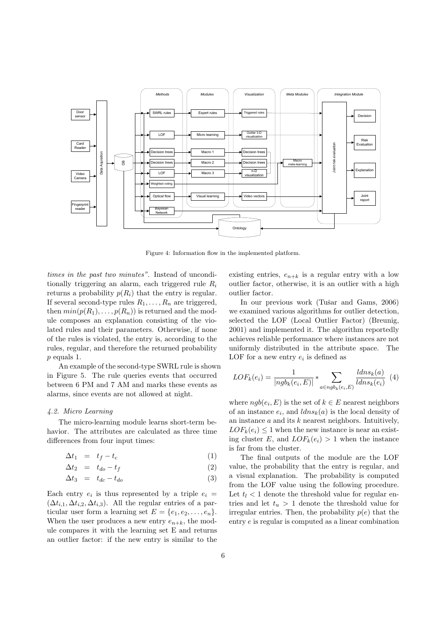

Figure 4: Information flow in the implemented platform.

*times in the past two minutes"*. Instead of unconditionally triggering an alarm, each triggered rule *R<sup>i</sup>* returns a probability  $p(R_i)$  that the entry is regular. If several second-type rules  $R_1, \ldots, R_n$  are triggered, then  $min(p(R_1), \ldots, p(R_n))$  is returned and the module composes an explanation consisting of the violated rules and their parameters. Otherwise, if none of the rules is violated, the entry is, according to the rules, regular, and therefore the returned probability *p* equals 1.

An example of the second-type SWRL rule is shown in Figure 5. The rule queries events that occurred between 6 PM and 7 AM and marks these events as alarms, since events are not allowed at night.

#### *4.2. Micro Learning*

The micro-learning module learns short-term behavior. The attributes are calculated as three time differences from four input times:

$$
\Delta t_1 = t_f - t_c \tag{1}
$$

 $\Delta t_2 = t_{do} - t_f$  (2)

$$
\Delta t_3 = t_{dc} - t_{do} \tag{3}
$$

Each entry  $e_i$  is thus represented by a triple  $e_i$  $(\Delta t_{i,1}, \Delta t_{i,2}, \Delta t_{i,3})$ . All the regular entries of a particular user form a learning set  $E = \{e_1, e_2, \ldots, e_n\}.$ When the user produces a new entry  $e_{n+k}$ , the module compares it with the learning set E and returns an outlier factor: if the new entry is similar to the existing entries,  $e_{n+k}$  is a regular entry with a low outlier factor, otherwise, it is an outlier with a high outlier factor.

In our previous work (Tušar and Gams, 2006) we examined various algorithms for outlier detection, selected the LOF (Local Outlier Factor) (Breunig, 2001) and implemented it. The algorithm reportedly achieves reliable performance where instances are not uniformly distributed in the attribute space. The LOF for a new entry  $e_i$  is defined as

$$
LOF_k(e_i) = \frac{1}{|ngb_k(e_i, E)|} * \sum_{a \in ngb_k(e_i, E)} \frac{lans_k(a)}{lans_k(e_i)} \tag{4}
$$

where  $ngb(e_i, E)$  is the set of  $k \in E$  nearest neighbors of an instance  $e_i$ , and  $\text{Id} \text{ns}_k(a)$  is the local density of an instance *a* and its *k* nearest neighbors. Intuitively,  $LOF_k(e_i) \leq 1$  when the new instance is near an existing cluster *E*, and  $LOF<sub>k</sub>(e<sub>i</sub>) > 1$  when the instance is far from the cluster.

The final outputs of the module are the LOF value, the probability that the entry is regular, and a visual explanation. The probability is computed from the LOF value using the following procedure. Let  $t_l$  < 1 denote the threshold value for regular entries and let  $t_u > 1$  denote the threshold value for irregular entries. Then, the probability  $p(e)$  that the entry *e* is regular is computed as a linear combination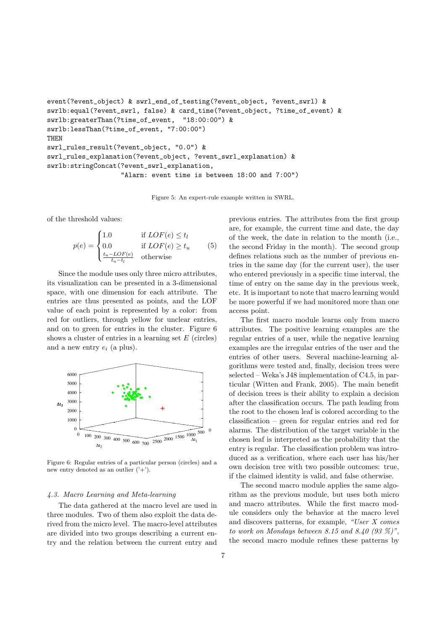```
event(?event_object) & swrl_end_of_testing(?event_object, ?event_swrl) &
swrlb:equal(?event_swrl, false) & card_time(?event_object, ?time_of_event) &
swrlb:greaterThan(?time_of_event, "18:00:00") &
swrlb:lessThan(?time_of_event, "7:00:00")
THEN
swrl_rules_result(?event_object, "0.0") &
swrl_rules_explanation(?event_object, ?event_swrl_explanation) &
swrlb:stringConcat(?event_swrl_explanation,
                   "Alarm: event time is between 18:00 and 7:00")
```
Figure 5: An expert-rule example written in SWRL.

of the threshold values:

$$
p(e) = \begin{cases} 1.0 & \text{if } LOF(e) \le t_l \\ 0.0 & \text{if } LOF(e) \ge t_u \\ \frac{t_u - LOF(e)}{t_u - t_l} & \text{otherwise} \end{cases}
$$
 (5)

Since the module uses only three micro attributes, its visualization can be presented in a 3-dimensional space, with one dimension for each attribute. The entries are thus presented as points, and the LOF value of each point is represented by a color: from red for outliers, through yellow for unclear entries, and on to green for entries in the cluster. Figure 6 shows a cluster of entries in a learning set *E* (circles) and a new entry *e<sup>i</sup>* (a plus).



Figure 6: Regular entries of a particular person (circles) and a new entry denoted as an outlier  $(2+1)$ .

#### *4.3. Macro Learning and Meta-learning*

The data gathered at the macro level are used in three modules. Two of them also exploit the data derived from the micro level. The macro-level attributes are divided into two groups describing a current entry and the relation between the current entry and previous entries. The attributes from the first group are, for example, the current time and date, the day of the week, the date in relation to the month (i.e., the second Friday in the month). The second group defines relations such as the number of previous entries in the same day (for the current user), the user who entered previously in a specific time interval, the time of entry on the same day in the previous week, etc. It is important to note that macro learning would be more powerful if we had monitored more than one access point.

The first macro module learns only from macro attributes. The positive learning examples are the regular entries of a user, while the negative learning examples are the irregular entries of the user and the entries of other users. Several machine-learning algorithms were tested and, finally, decision trees were selected – Weka's J48 implementation of C4.5, in particular (Witten and Frank, 2005). The main benefit of decision trees is their ability to explain a decision after the classification occurs. The path leading from the root to the chosen leaf is colored according to the classification – green for regular entries and red for alarms. The distribution of the target variable in the chosen leaf is interpreted as the probability that the entry is regular. The classification problem was introduced as a verification, where each user has his/her own decision tree with two possible outcomes: true, if the claimed identity is valid, and false otherwise.

The second macro module applies the same algorithm as the previous module, but uses both micro and macro attributes. While the first macro module considers only the behavior at the macro level and discovers patterns, for example, *"User X comes to work on Mondays between 8.15 and 8.40 (93 %)"*, the second macro module refines these patterns by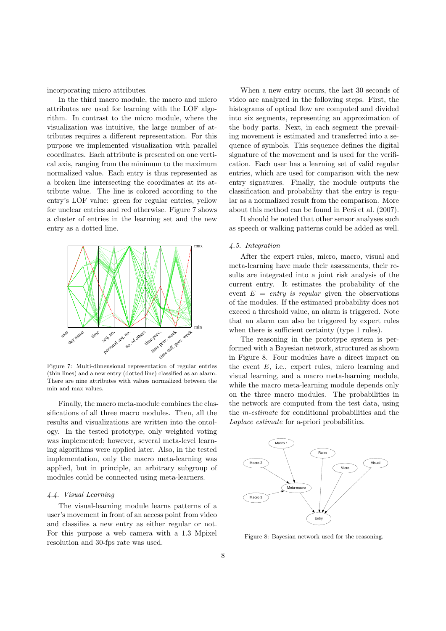incorporating micro attributes.

In the third macro module, the macro and micro attributes are used for learning with the LOF algorithm. In contrast to the micro module, where the visualization was intuitive, the large number of attributes requires a different representation. For this purpose we implemented visualization with parallel coordinates. Each attribute is presented on one vertical axis, ranging from the minimum to the maximum normalized value. Each entry is thus represented as a broken line intersecting the coordinates at its attribute value. The line is colored according to the entry's LOF value: green for regular entries, yellow for unclear entries and red otherwise. Figure 7 shows a cluster of entries in the learning set and the new entry as a dotted line.



Figure 7: Multi-dimensional representation of regular entries (thin lines) and a new entry (dotted line) classified as an alarm. There are nine attributes with values normalized between the min and max values.

Finally, the macro meta-module combines the classifications of all three macro modules. Then, all the results and visualizations are written into the ontology. In the tested prototype, only weighted voting was implemented; however, several meta-level learning algorithms were applied later. Also, in the tested implementation, only the macro meta-learning was applied, but in principle, an arbitrary subgroup of modules could be connected using meta-learners.

## *4.4. Visual Learning*

The visual-learning module learns patterns of a user's movement in front of an access point from video and classifies a new entry as either regular or not. For this purpose a web camera with a 1*.*3 Mpixel resolution and 30-fps rate was used.

When a new entry occurs, the last 30 seconds of video are analyzed in the following steps. First, the histograms of optical flow are computed and divided into six segments, representing an approximation of the body parts. Next, in each segment the prevailing movement is estimated and transferred into a sequence of symbols. This sequence defines the digital signature of the movement and is used for the verification. Each user has a learning set of valid regular entries, which are used for comparison with the new entry signatures. Finally, the module outputs the classification and probability that the entry is regular as a normalized result from the comparison. More about this method can be found in Perš et al.  $(2007)$ .

It should be noted that other sensor analyses such as speech or walking patterns could be added as well.

#### *4.5. Integration*

After the expert rules, micro, macro, visual and meta-learning have made their assessments, their results are integrated into a joint risk analysis of the current entry. It estimates the probability of the event  $E = entry$  is regular given the observations of the modules. If the estimated probability does not exceed a threshold value, an alarm is triggered. Note that an alarm can also be triggered by expert rules when there is sufficient certainty (type 1 rules).

The reasoning in the prototype system is performed with a Bayesian network, structured as shown in Figure 8. Four modules have a direct impact on the event *E*, i.e., expert rules, micro learning and visual learning, and a macro meta-learning module, while the macro meta-learning module depends only on the three macro modules. The probabilities in the network are computed from the test data, using the *m-estimate* for conditional probabilities and the *Laplace estimate* for a-priori probabilities.



Figure 8: Bayesian network used for the reasoning.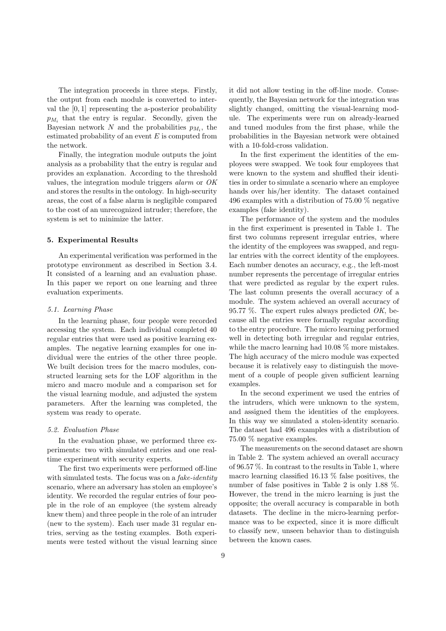The integration proceeds in three steps. Firstly, the output from each module is converted to interval the [0*,* 1] representing the a-posterior probability  $p_{M_i}$  that the entry is regular. Secondly, given the Bayesian network *N* and the probabilities  $p_{M_i}$ , the estimated probability of an event *E* is computed from the network.

Finally, the integration module outputs the joint analysis as a probability that the entry is regular and provides an explanation. According to the threshold values, the integration module triggers *alarm* or *OK* and stores the results in the ontology. In high-security areas, the cost of a false alarm is negligible compared to the cost of an unrecognized intruder; therefore, the system is set to minimize the latter.

## 5. Experimental Results

An experimental verification was performed in the prototype environment as described in Section 3.4. It consisted of a learning and an evaluation phase. In this paper we report on one learning and three evaluation experiments.

# *5.1. Learning Phase*

In the learning phase, four people were recorded accessing the system. Each individual completed 40 regular entries that were used as positive learning examples. The negative learning examples for one individual were the entries of the other three people. We built decision trees for the macro modules, constructed learning sets for the LOF algorithm in the micro and macro module and a comparison set for the visual learning module, and adjusted the system parameters. After the learning was completed, the system was ready to operate.

## *5.2. Evaluation Phase*

In the evaluation phase, we performed three experiments: two with simulated entries and one realtime experiment with security experts.

The first two experiments were performed off-line with simulated tests. The focus was on a *fake-identity* scenario, where an adversary has stolen an employee's identity. We recorded the regular entries of four people in the role of an employee (the system already knew them) and three people in the role of an intruder (new to the system). Each user made 31 regular entries, serving as the testing examples. Both experiments were tested without the visual learning since it did not allow testing in the off-line mode. Consequently, the Bayesian network for the integration was slightly changed, omitting the visual-learning module. The experiments were run on already-learned and tuned modules from the first phase, while the probabilities in the Bayesian network were obtained with a 10-fold-cross validation.

In the first experiment the identities of the employees were swapped. We took four employees that were known to the system and shuffled their identities in order to simulate a scenario where an employee hands over his/her identity. The dataset contained 496 examples with a distribution of 75.00 % negative examples (fake identity).

The performance of the system and the modules in the first experiment is presented in Table 1. The first two columns represent irregular entries, where the identity of the employees was swapped, and regular entries with the correct identity of the employees. Each number denotes an accuracy, e.g., the left-most number represents the percentage of irregular entries that were predicted as regular by the expert rules. The last column presents the overall accuracy of a module. The system achieved an overall accuracy of 95.77 %. The expert rules always predicted *OK*, because all the entries were formally regular according to the entry procedure. The micro learning performed well in detecting both irregular and regular entries, while the macro learning had 10.08 % more mistakes. The high accuracy of the micro module was expected because it is relatively easy to distinguish the movement of a couple of people given sufficient learning examples.

In the second experiment we used the entries of the intruders, which were unknown to the system, and assigned them the identities of the employees. In this way we simulated a stolen-identity scenario. The dataset had 496 examples with a distribution of 75.00 % negative examples.

The measurements on the second dataset are shown in Table 2. The system achieved an overall accuracy of 96.57 %. In contrast to the results in Table 1, where macro learning classified 16.13 % false positives, the number of false positives in Table 2 is only 1.88 %. However, the trend in the micro learning is just the opposite; the overall accuracy is comparable in both datasets. The decline in the micro-learning performance was to be expected, since it is more difficult to classify new, unseen behavior than to distinguish between the known cases.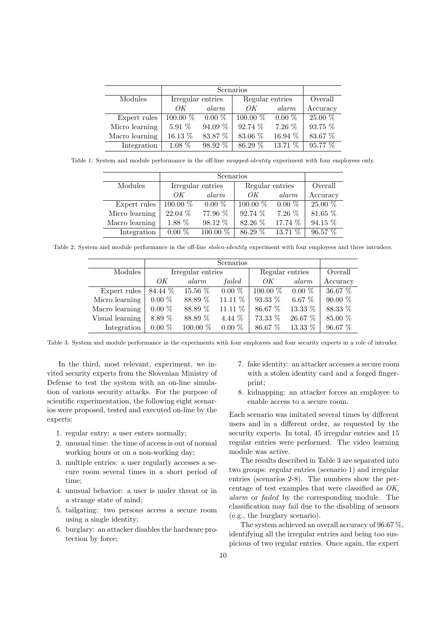| Modules        | Irregular entries |           | Regular entries |           | Overall  |
|----------------|-------------------|-----------|-----------------|-----------|----------|
|                | OK                | alarm     | OK              | alarm     | Accuracy |
| Expert rules   | $100.00\%$        | $0.00\%$  | $100.00\%$      | $0.00\%$  | 25.00 %  |
| Micro learning | 5.91%             | 94.09 %   | 92.74 %         | $7.26\%$  | 93.75 %  |
| Macro learning | 16.13 %           | 83.87 %   | 83.06 %         | 16.94 %   | 83.67 %  |
| Integration    | $1.08\%$          | $98.92\%$ | $86.29\%$       | $13.71\%$ | 95.77 %  |

Table 1: System and module performance in the off-line *swapped-identity* experiment with four employees only.

| Modules        | Irregular entries |          | Regular entries |          | Overall   |
|----------------|-------------------|----------|-----------------|----------|-----------|
|                | OK                | alarm    | OK              | alarm    | Accuracy  |
| Expert rules   | $100.00\%$        | $0.00\%$ | $100.00\%$      | $0.00\%$ | $25.00\%$ |
| Micro learning | 22.04 %           | 77.96 %  | 92.74 %         | 7.26 %   | 81.65 %   |
| Macro learning | $1.88\%$          | 98.12 %  | 82.26 %         | 17.74 %  | 94.15 %   |
| Integration    | $0.00\%$          | 100.00 % | 86.29 %         | 13.71 %  | 96.57 %   |

Table 2: System and module performance in the off-line *stolen-identity* experiment with four employees and three intruders.

|                 | Scenarios         |            |          |                 |          |          |
|-----------------|-------------------|------------|----------|-----------------|----------|----------|
| Modules         | Irregular entries |            |          | Regular entries |          | Overall  |
|                 | OК                | $_{alarm}$ | failed   | OK              | alarm    | Accuracy |
| Expert rules    | 84.44 %           | 15.56 %    | $0.00\%$ | 100.00 %        | $0.00\%$ | 36.67 %  |
| Micro learning  | $0.00\%$          | 88.89 %    | 11.11 %  | 93.33 %         | 6.67 $%$ | 90.00 %  |
| Macro learning  | $0.00\%$          | 88.89 %    | 11.11 %  | 86.67 %         | 13.33 %  | 88.33 %  |
| Visual learning | 8.89 %            | 88.89 %    | 4.44 $%$ | 73.33 %         | 26.67 %  | 85.00 %  |
| Integration     | $0.00\%$          | 100.00 %   | $0.00\%$ | 86.67 %         | 13.33 %  | 96.67 %  |

Table 3: System and module performance in the experiments with four employees and four security experts in a role of intruder.

In the third, most relevant, experiment, we invited security experts from the Slovenian Ministry of Defense to test the system with an on-line simulation of various security attacks. For the purpose of scientific experimentation, the following eight scenarios were proposed, tested and executed on-line by the experts:

- 1. regular entry: a user enters normally;
- 2. unusual time: the time of access is out of normal working hours or on a non-working day;
- 3. multiple entries: a user regularly accesses a secure room several times in a short period of time;
- 4. unusual behavior: a user is under threat or in a strange state of mind;
- 5. tailgating: two persons access a secure room using a single identity;
- 6. burglary: an attacker disables the hardware protection by force;
- 7. fake identity: an attacker accesses a secure room with a stolen identity card and a forged fingerprint;
- 8. kidnapping: an attacker forces an employee to enable access to a secure room.

Each scenario was imitated several times by different users and in a different order, as requested by the security experts. In total, 45 irregular entries and 15 regular entries were performed. The video learning module was active.

The results described in Table 3 are separated into two groups: regular entries (scenario 1) and irregular entries (scenarios 2-8). The numbers show the percentage of test examples that were classified as *OK*, *alarm* or *failed* by the corresponding module. The classification may fail due to the disabling of sensors (e.g., the burglary scenario).

The system achieved an overall accuracy of 96.67 %, identifying all the irregular entries and being too suspicious of two regular entries. Once again, the expert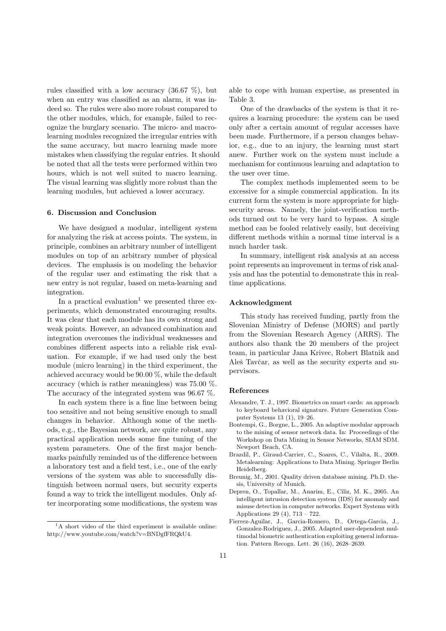rules classified with a low accuracy (36.67 %), but when an entry was classified as an alarm, it was indeed so. The rules were also more robust compared to the other modules, which, for example, failed to recognize the burglary scenario. The micro- and macrolearning modules recognized the irregular entries with the same accuracy, but macro learning made more mistakes when classifying the regular entries. It should be noted that all the tests were performed within two hours, which is not well suited to macro learning. The visual learning was slightly more robust than the learning modules, but achieved a lower accuracy.

# 6. Discussion and Conclusion

We have designed a modular, intelligent system for analyzing the risk at access points. The system, in principle, combines an arbitrary number of intelligent modules on top of an arbitrary number of physical devices. The emphasis is on modeling the behavior of the regular user and estimating the risk that a new entry is not regular, based on meta-learning and integration.

In a practical evaluation<sup>1</sup> we presented three experiments, which demonstrated encouraging results. It was clear that each module has its own strong and weak points. However, an advanced combination and integration overcomes the individual weaknesses and combines different aspects into a reliable risk evaluation. For example, if we had used only the best module (micro learning) in the third experiment, the achieved accuracy would be 90.00 %, while the default accuracy (which is rather meaningless) was 75.00 %. The accuracy of the integrated system was 96.67 %.

In each system there is a fine line between being too sensitive and not being sensitive enough to small changes in behavior. Although some of the methods, e.g., the Bayesian network, are quite robust, any practical application needs some fine tuning of the system parameters. One of the first major benchmarks painfully reminded us of the difference between a laboratory test and a field test, i.e., one of the early versions of the system was able to successfully distinguish between normal users, but security experts found a way to trick the intelligent modules. Only after incorporating some modifications, the system was able to cope with human expertise, as presented in Table 3.

One of the drawbacks of the system is that it requires a learning procedure: the system can be used only after a certain amount of regular accesses have been made. Furthermore, if a person changes behavior, e.g., due to an injury, the learning must start anew. Further work on the system must include a mechanism for continuous learning and adaptation to the user over time.

The complex methods implemented seem to be excessive for a simple commercial application. In its current form the system is more appropriate for highsecurity areas. Namely, the joint-verification methods turned out to be very hard to bypass. A single method can be fooled relatively easily, but deceiving different methods within a normal time interval is a much harder task.

In summary, intelligent risk analysis at an access point represents an improvement in terms of risk analysis and has the potential to demonstrate this in realtime applications.

#### Acknowledgment

This study has received funding, partly from the Slovenian Ministry of Defense (MORS) and partly from the Slovenian Research Agency (ARRS). The authors also thank the 20 members of the project team, in particular Jana Krivec, Robert Blatnik and Aleš Tavčar, as well as the security experts and supervisors.

#### References

- Alexandre, T. J., 1997. Biometrics on smart cards: an approach to keyboard behavioral signature. Future Generation Computer Systems 13 (1), 19–26.
- Bontempi, G., Borgne, L., 2005. An adaptive modular approach to the mining of sensor network data. In: Proceedings of the Workshop on Data Mining in Sensor Networks, SIAM SDM. Newport Beach, CA.
- Brazdil, P., Giraud-Carrier, C., Soares, C., Vilalta, R., 2009. Metalearning: Applications to Data Mining. Springer Berlin Heidelberg.
- Breunig, M., 2001. Quality driven database mining. Ph.D. thesis, University of Munich.
- Depren, O., Topallar, M., Anarim, E., Ciliz, M. K., 2005. An intelligent intrusion detection system (IDS) for anomaly and misuse detection in computer networks. Expert Systems with Applications 29 (4), 713 – 722.
- Fierrez-Aguilar, J., Garcia-Romero, D., Ortega-Garcia, J., Gonzalez-Rodriguez, J., 2005. Adapted user-dependent multimodal biometric authentication exploiting general information. Pattern Recogn. Lett. 26 (16), 2628–2639.

<sup>&</sup>lt;sup>1</sup>A short video of the third experiment is available online: http://www.youtube.com/watch?v=BNDgfFRQkU4.